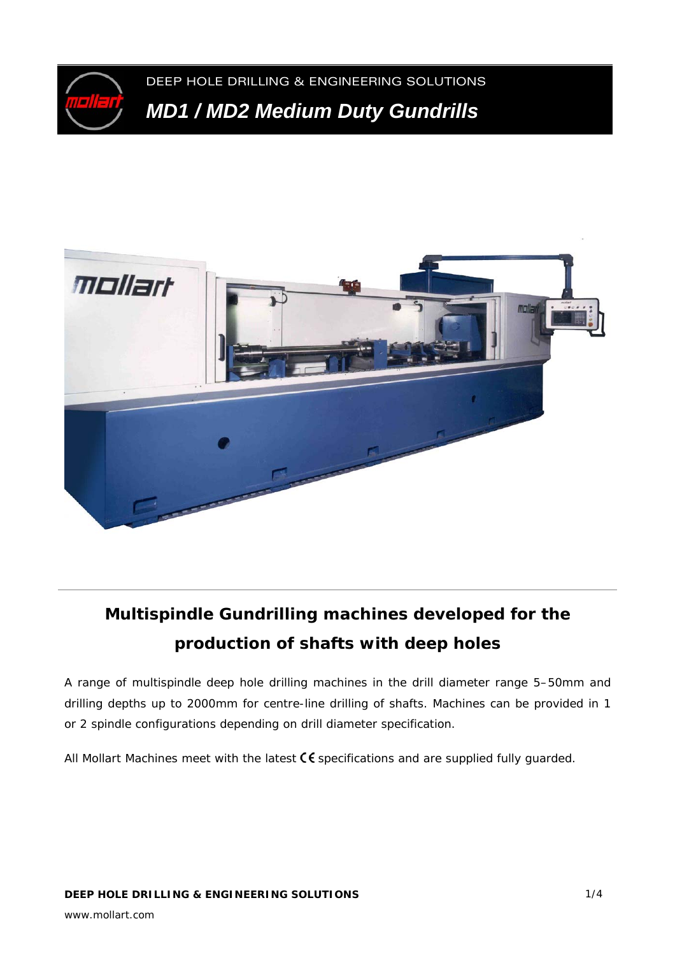

DEEP HOLE DRILLING & ENGINEERING SOLUTIONS *MD1 / MD2 Medium Duty Gundrills* 



# **Multispindle Gundrilling machines developed for the production of shafts with deep holes**

A range of multispindle deep hole drilling machines in the drill diameter range 5–50mm and drilling depths up to 2000mm for centre-line drilling of shafts. Machines can be provided in 1 or 2 spindle configurations depending on drill diameter specification.

All Mollart Machines meet with the latest  $\zeta \xi$  specifications and are supplied fully guarded.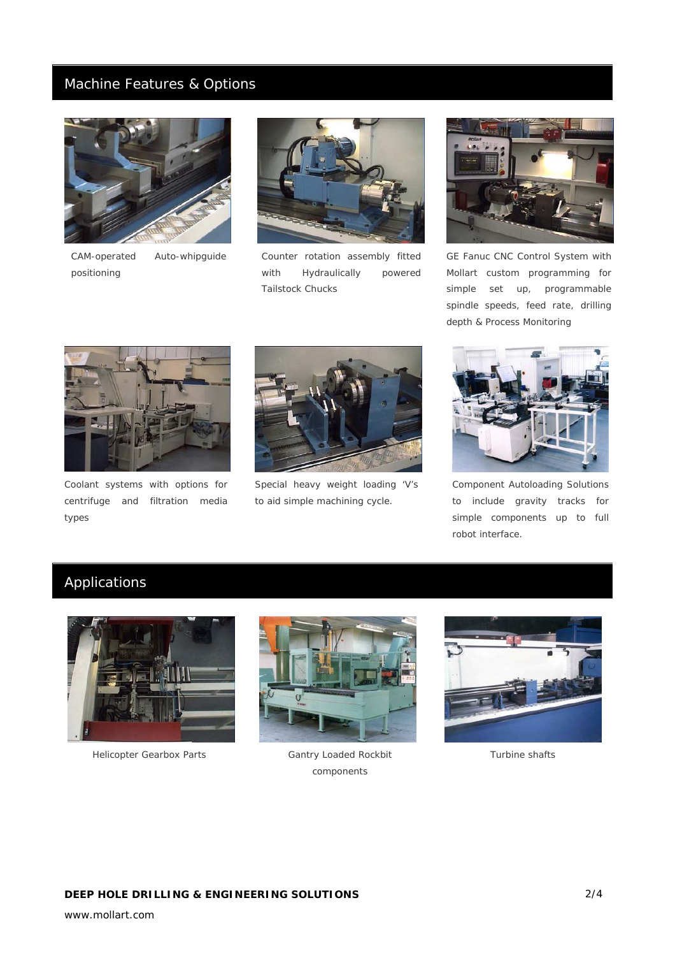## Machine Features & Options



*CAM-operated Auto-whipguide positioning* 



*Counter rotation assembly fitted with Hydraulically powered Tailstock Chucks* 



*GE Fanuc CNC Control System with Mollart custom programming for simple set up, programmable spindle speeds, feed rate, drilling depth & Process Monitoring* 



*Coolant systems with options for centrifuge and filtration media types* 



*Special heavy weight loading 'V's to aid simple machining cycle.* 



*Component Autoloading Solutions to include gravity tracks for simple components up to full robot interface.* 

# Applications



*Helicopter Gearbox Parts Gantry Loaded Rockbit* 



*components* 



*Turbine shafts*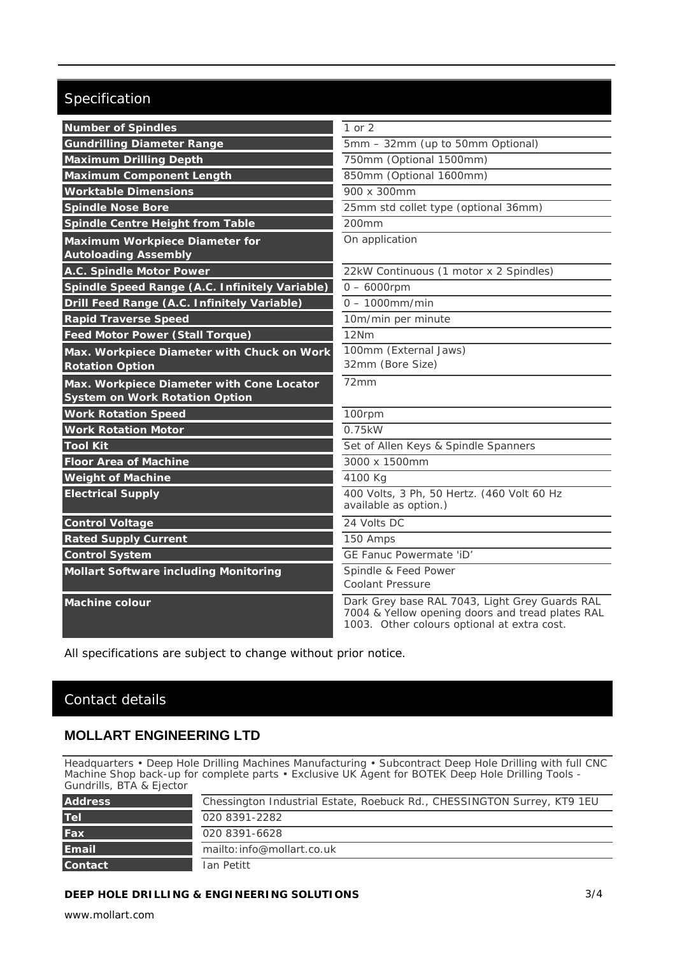# Specification

| <b>Number of Spindles</b>                                                          | 1 or 2                                                                                                                                            |
|------------------------------------------------------------------------------------|---------------------------------------------------------------------------------------------------------------------------------------------------|
| <b>Gundrilling Diameter Range</b>                                                  | 5mm - 32mm (up to 50mm Optional)                                                                                                                  |
| <b>Maximum Drilling Depth</b>                                                      | 750mm (Optional 1500mm)                                                                                                                           |
| <b>Maximum Component Length</b>                                                    | 850mm (Optional 1600mm)                                                                                                                           |
| <b>Worktable Dimensions</b>                                                        | 900 x 300mm                                                                                                                                       |
| <b>Spindle Nose Bore</b>                                                           | 25mm std collet type (optional 36mm)                                                                                                              |
| <b>Spindle Centre Height from Table</b>                                            | 200 <sub>mm</sub>                                                                                                                                 |
| Maximum Workpiece Diameter for<br><b>Autoloading Assembly</b>                      | On application                                                                                                                                    |
| A.C. Spindle Motor Power                                                           | 22kW Continuous (1 motor x 2 Spindles)                                                                                                            |
| Spindle Speed Range (A.C. Infinitely Variable)                                     | $0 - 6000$ rpm                                                                                                                                    |
| Drill Feed Range (A.C. Infinitely Variable)                                        | $0 - 1000$ mm/min                                                                                                                                 |
| <b>Rapid Traverse Speed</b>                                                        | 10m/min per minute                                                                                                                                |
| <b>Feed Motor Power (Stall Torque)</b>                                             | 12Nm                                                                                                                                              |
| Max. Workpiece Diameter with Chuck on Work                                         | 100mm (External Jaws)                                                                                                                             |
| <b>Rotation Option</b>                                                             | 32mm (Bore Size)                                                                                                                                  |
| Max. Workpiece Diameter with Cone Locator<br><b>System on Work Rotation Option</b> | 72mm                                                                                                                                              |
| <b>Work Rotation Speed</b>                                                         | 100rpm                                                                                                                                            |
| <b>Work Rotation Motor</b>                                                         | 0.75kW                                                                                                                                            |
| <b>Tool Kit</b>                                                                    | Set of Allen Keys & Spindle Spanners                                                                                                              |
| <b>Floor Area of Machine</b>                                                       | 3000 x 1500mm                                                                                                                                     |
| <b>Weight of Machine</b>                                                           | 4100 Kg                                                                                                                                           |
| <b>Electrical Supply</b>                                                           | 400 Volts, 3 Ph, 50 Hertz. (460 Volt 60 Hz<br>available as option.)                                                                               |
| <b>Control Voltage</b>                                                             | 24 Volts DC                                                                                                                                       |
| <b>Rated Supply Current</b>                                                        | 150 Amps                                                                                                                                          |
| <b>Control System</b>                                                              | GE Fanuc Powermate 'iD'                                                                                                                           |
| <b>Mollart Software including Monitoring</b>                                       | Spindle & Feed Power                                                                                                                              |
|                                                                                    | <b>Coolant Pressure</b>                                                                                                                           |
| <b>Machine colour</b>                                                              | Dark Grey base RAL 7043, Light Grey Guards RAL<br>7004 & Yellow opening doors and tread plates RAL<br>1003. Other colours optional at extra cost. |

All specifications are subject to change without prior notice.

# Contact details

## **MOLLART ENGINEERING LTD**

Headquarters • Deep Hole Drilling Machines Manufacturing • Subcontract Deep Hole Drilling with full CNC Machine Shop back-up for complete parts • Exclusive UK Agent for BOTEK Deep Hole Drilling Tools - Gundrills, BTA & Ejector

| $\frac{1}{2}$  |                                                                         |
|----------------|-------------------------------------------------------------------------|
| <b>Address</b> | Chessington Industrial Estate, Roebuck Rd., CHESSINGTON Surrey, KT9 1EU |
| <b>Tel</b>     | 020 8391-2282                                                           |
| <b>Fax</b>     | 020 8391-6628                                                           |
| <b>Email</b>   | mailto: info@mollart.co.uk                                              |
| <b>Contact</b> | Ian Petitt                                                              |

### **DEEP HOLE DRILLING & ENGINEERING SOLUTIONS**